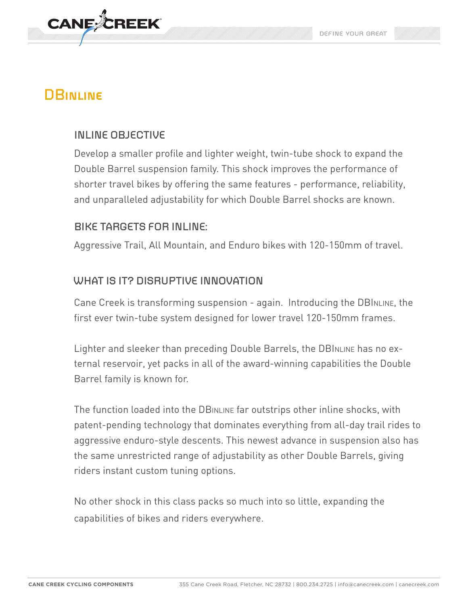

# **DBinline**

# **INLINE OBJECTIVE**

Develop a smaller profile and lighter weight, twin-tube shock to expand the Double Barrel suspension family. This shock improves the performance of shorter travel bikes by offering the same features - performance, reliability, and unparalleled adjustability for which Double Barrel shocks are known.

## **BIKE TARGETS FOR INLINE:**

Aggressive Trail, All Mountain, and Enduro bikes with 120-150mm of travel.

# **WHAT IS IT? DISRUPTIVE INNOVATION**

Cane Creek is transforming suspension - again. Introducing the DBINLINE, the first ever twin-tube system designed for lower travel 120-150mm frames.

Lighter and sleeker than preceding Double Barrels, the DBINLINE has no external reservoir, yet packs in all of the award-winning capabilities the Double Barrel family is known for.

The function loaded into the DBINLINE far outstrips other inline shocks, with patent-pending technology that dominates everything from all-day trail rides to aggressive enduro-style descents. This newest advance in suspension also has the same unrestricted range of adjustability as other Double Barrels, giving riders instant custom tuning options.

No other shock in this class packs so much into so little, expanding the capabilities of bikes and riders everywhere.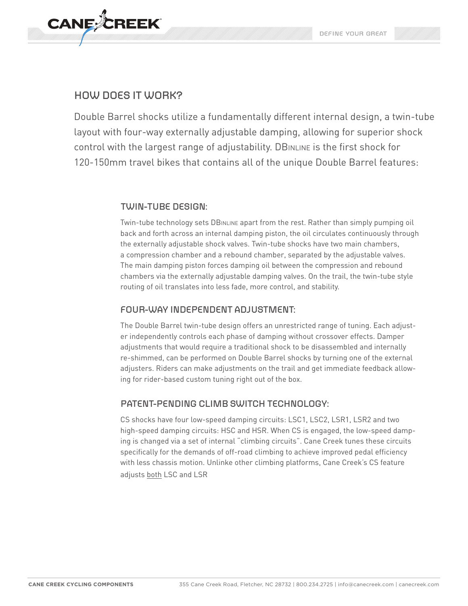

#### **HOW DOES IT WORK?**

Double Barrel shocks utilize a fundamentally different internal design, a twin-tube layout with four-way externally adjustable damping, allowing for superior shock control with the largest range of adjustability. DBINLINE is the first shock for 120-150mm travel bikes that contains all of the unique Double Barrel features:

#### **TWIN-TUBE DESIGN:**

Twin-tube technology sets DBINLINE apart from the rest. Rather than simply pumping oil back and forth across an internal damping piston, the oil circulates continuously through the externally adjustable shock valves. Twin-tube shocks have two main chambers, a compression chamber and a rebound chamber, separated by the adjustable valves. The main damping piston forces damping oil between the compression and rebound chambers via the externally adjustable damping valves. On the trail, the twin-tube style routing of oil translates into less fade, more control, and stability.

#### **FOUR-WAY INDEPENDENT ADJUSTMENT:**

The Double Barrel twin-tube design offers an unrestricted range of tuning. Each adjuster independently controls each phase of damping without crossover effects. Damper adjustments that would require a traditional shock to be disassembled and internally re-shimmed, can be performed on Double Barrel shocks by turning one of the external adjusters. Riders can make adjustments on the trail and get immediate feedback allowing for rider-based custom tuning right out of the box.

#### **PATENT-PENDING CLIMB SWITCH TECHNOLOGY:**

CS shocks have four low-speed damping circuits: LSC1, LSC2, LSR1, LSR2 and two high-speed damping circuits: HSC and HSR. When CS is engaged, the low-speed damping is changed via a set of internal "climbing circuits". Cane Creek tunes these circuits specifically for the demands of off-road climbing to achieve improved pedal efficiency with less chassis motion. Unlinke other climbing platforms, Cane Creek's CS feature adjusts both LSC and LSR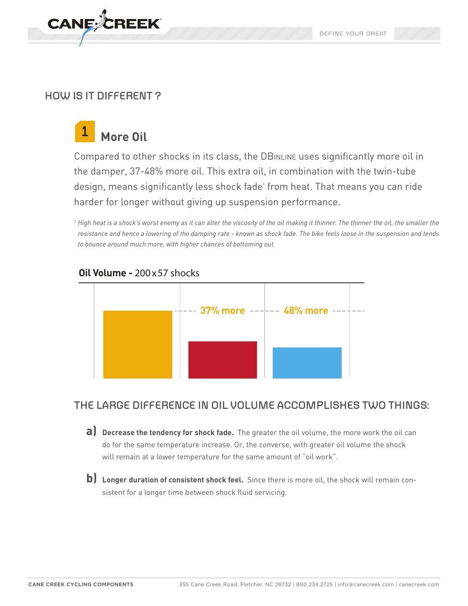

## **HOW IS IT DIFFERENT ?**

#### **More Oil 1**

Compared to other shocks in its class, the DBINLINE uses significantly more oil in the damper, 37-48% more oil. This extra oil, in combination with the twin-tube design, means significantly less shock fade' from heat. That means you can ride harder for longer without giving up suspension performance.

<sup>1</sup> High heat is a shock's worst enemy as it can alter the viscosity of the oil making it thinner. The thinner the oil, the smaller the *resistance and hence a lowering of the damping rate - known as shock fade. The bike feels loose in the suspension and tends to bounce around much more, with higher chances of bottoming out.* 



#### **Oil Volume -** 200x57 shocks

## **THE LARGE DIFFERENCE IN OIL VOLUME ACCOMPLISHES TWO THINGS:**

- Beered see the temperature increase. Or, the converse, with greater oil volume the shock<br>do for the same temperature increase. Or, the converse, with greater oil volume the shock **a)** Decrease the tendency for shock fade. The greater the oil volume, the more work the oil can will remain at a lower temperature for the same amount of "oil work".
- **b) Longer duration of consistent shock feel.** Since there is more oil, the shock will remain consistent for a longer time between shock fluid servicing.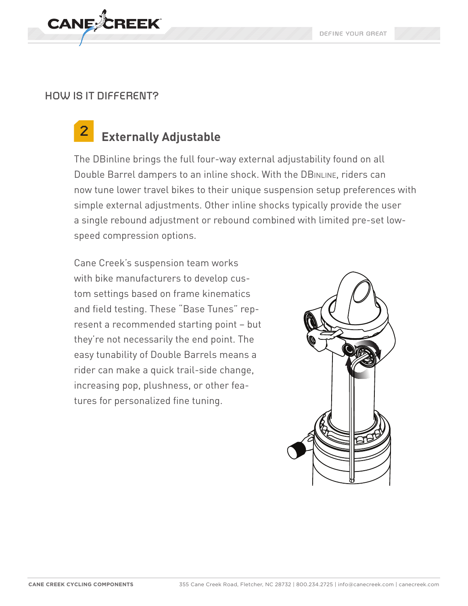

#### **HOW IS IT DIFFERENT?**

#### **Externally Adjustable 2**

The DBinline brings the full four-way external adjustability found on all Double Barrel dampers to an inline shock. With the DBINLINE, riders can now tune lower travel bikes to their unique suspension setup preferences with simple external adjustments. Other inline shocks typically provide the user a single rebound adjustment or rebound combined with limited pre-set lowspeed compression options.

Cane Creek's suspension team works with bike manufacturers to develop custom settings based on frame kinematics and field testing. These "Base Tunes" represent a recommended starting point – but they're not necessarily the end point. The easy tunability of Double Barrels means a rider can make a quick trail-side change, increasing pop, plushness, or other features for personalized fine tuning.

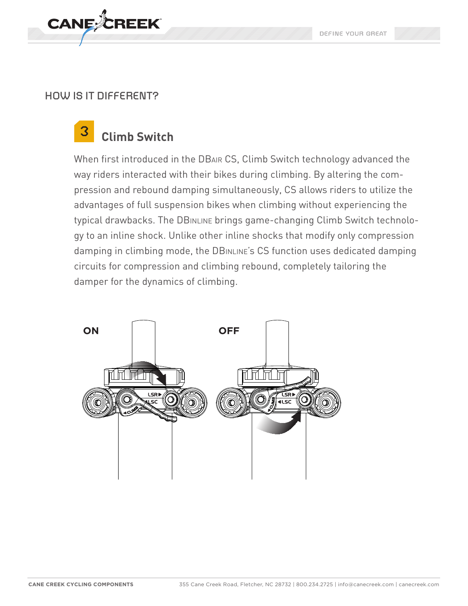

#### **HOW IS IT DIFFERENT?**

#### **Climb Switch 3**

When first introduced in the DBair CS, Climb Switch technology advanced the way riders interacted with their bikes during climbing. By altering the compression and rebound damping simultaneously, CS allows riders to utilize the advantages of full suspension bikes when climbing without experiencing the typical drawbacks. The DBINLINE brings game-changing Climb Switch technology to an inline shock. Unlike other inline shocks that modify only compression damping in climbing mode, the DBINLINE's CS function uses dedicated damping circuits for compression and climbing rebound, completely tailoring the damper for the dynamics of climbing.

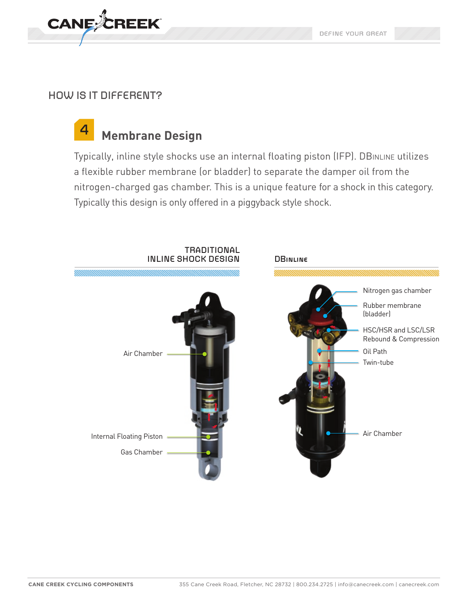

# **HOW IS IT DIFFERENT?**

#### **Membrane Design 4**

Typically, inline style shocks use an internal floating piston (IFP). DBINLINE utilizes a flexible rubber membrane (or bladder) to separate the damper oil from the nitrogen-charged gas chamber. This is a unique feature for a shock in this category. Typically this design is only offered in a piggyback style shock.